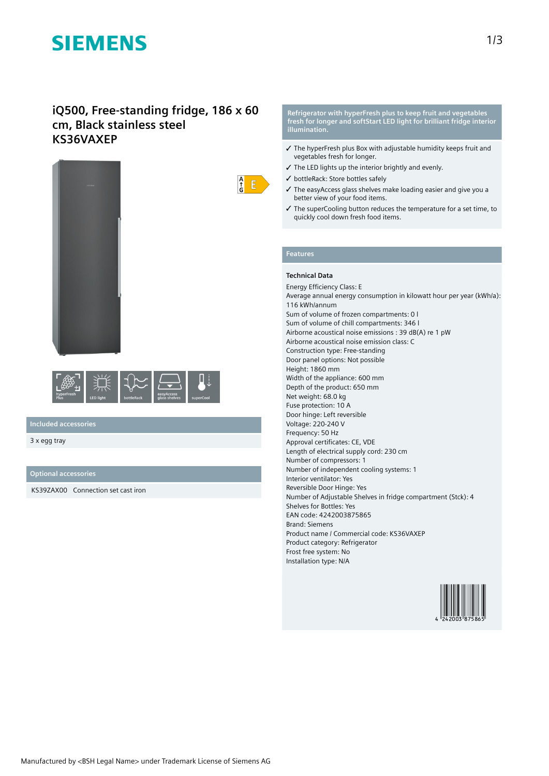# **SIEMENS**

# **iQ500, Free-standing fridge, 186 x 60 cm, Black stainless steel KS36VAXEP**





# **Included accessories**

3 x egg tray

## **Optional accessories**

KS39ZAX00 Connection set cast iron

#### **Refrigerator with hyperFresh plus to keep fruit and vegetables fresh for longer and softStart LED light for brilliant fridge interior illumination.**

- ✓ The hyperFresh plus Box with adjustable humidity keeps fruit and vegetables fresh for longer.
- ✓ The LED lights up the interior brightly and evenly.
- ✓ bottleRack: Store bottles safely
- ✓ The easyAccess glass shelves make loading easier and give you a better view of your food items.
- ✓ The superCooling button reduces the temperature for a set time, to quickly cool down fresh food items.

# **Features**

 $\frac{A}{f}$  $E$ 

### **Technical Data**

Energy Efficiency Class: E Average annual energy consumption in kilowatt hour per year (kWh/a): 116 kWh/annum Sum of volume of frozen compartments: 0 l Sum of volume of chill compartments: 346 l Airborne acoustical noise emissions : 39 dB(A) re 1 pW Airborne acoustical noise emission class: C Construction type: Free-standing Door panel options: Not possible Height: 1860 mm Width of the appliance: 600 mm Depth of the product: 650 mm Net weight: 68.0 kg Fuse protection: 10 A Door hinge: Left reversible Voltage: 220-240 V Frequency: 50 Hz Approval certificates: CE, VDE Length of electrical supply cord: 230 cm Number of compressors: 1 Number of independent cooling systems: 1 Interior ventilator: Yes Reversible Door Hinge: Yes Number of Adjustable Shelves in fridge compartment (Stck): 4 Shelves for Bottles: Yes EAN code: 4242003875865 Brand: Siemens Product name / Commercial code: KS36VAXEP Product category: Refrigerator Frost free system: No Installation type: N/A

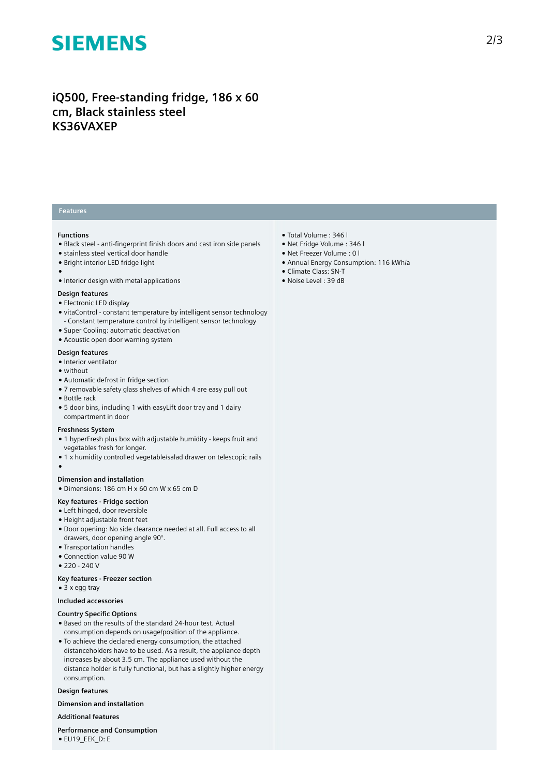# **SIEMENS**

# **iQ500, Free-standing fridge, 186 x 60 cm, Black stainless steel KS36VAXEP**

# **Features**

### **Functions**

- Black steel anti-fingerprint finish doors and cast iron side panels
- stainless steel vertical door handle
- Bright interior LED fridge light
- ●
- Interior design with metal applications

#### **Design features**

- Electronic LED display
- vitaControl constant temperature by intelligent sensor technology - Constant temperature control by intelligent sensor technology
- Super Cooling: automatic deactivation
- Acoustic open door warning system

## **Design features**

- Interior ventilator
- without
- Automatic defrost in fridge section
- 7 removable safety glass shelves of which 4 are easy pull out
- Bottle rack

●

● 5 door bins, including 1 with easyLift door tray and 1 dairy compartment in door

#### **Freshness System**

- 1 hyperFresh plus box with adjustable humidity keeps fruit and vegetables fresh for longer.
- 1 x humidity controlled vegetable/salad drawer on telescopic rails

#### **Dimension and installation**

● Dimensions: 186 cm H x 60 cm W x 65 cm D

#### **Key features - Fridge section**

- Left hinged, door reversible
- Height adjustable front feet
- Door opening: No side clearance needed at all. Full access to all drawers, door opening angle 90°.
- Transportation handles
- Connection value 90 W
- 220 240 V

## **Key features - Freezer section**

● 3 x egg tray

# **Included accessories**

#### **Country Specific Options**

- Based on the results of the standard 24-hour test. Actual consumption depends on usage/position of the appliance.
- To achieve the declared energy consumption, the attached distanceholders have to be used. As a result, the appliance depth increases by about 3.5 cm. The appliance used without the distance holder is fully functional, but has a slightly higher energy consumption.

### **Design features**

**Dimension and installation**

#### **Additional features**

**Performance and Consumption** ● EU19\_EEK\_D: E

- Total Volume : 346 l
- Net Fridge Volume : 346 l
- Net Freezer Volume : 0 l
- Annual Energy Consumption: 116 kWh/a
- Climate Class: SN-T
- Noise Level : 39 dB